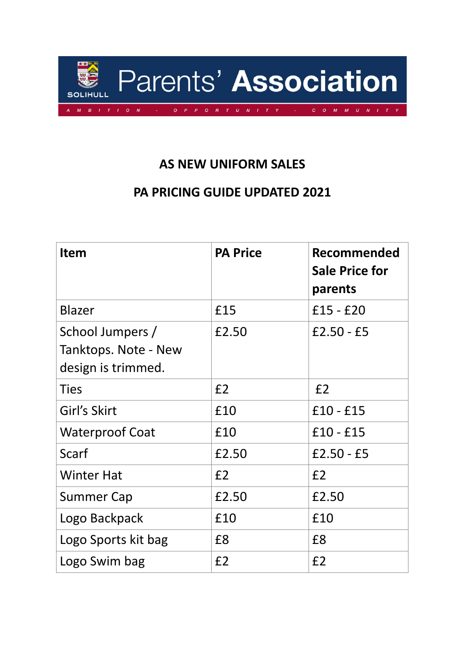

## **AS NEW UNIFORM SALES**

## **PA PRICING GUIDE UPDATED 2021**

| <b>Item</b>                                                    | <b>PA Price</b> | <b>Recommended</b><br><b>Sale Price for</b><br>parents |
|----------------------------------------------------------------|-----------------|--------------------------------------------------------|
| <b>Blazer</b>                                                  | £15             | $£15 - £20$                                            |
| School Jumpers /<br>Tanktops. Note - New<br>design is trimmed. | £2.50           | $£2.50 - £5$                                           |
| <b>Ties</b>                                                    | E <sub>2</sub>  | E <sub>2</sub>                                         |
| Girl's Skirt                                                   | £10             | $£10 - £15$                                            |
| <b>Waterproof Coat</b>                                         | £10             | $£10 - £15$                                            |
| Scarf                                                          | £2.50           | $£2.50 - £5$                                           |
| <b>Winter Hat</b>                                              | E <sub>2</sub>  | E <sub>2</sub>                                         |
| <b>Summer Cap</b>                                              | £2.50           | £2.50                                                  |
| Logo Backpack                                                  | £10             | £10                                                    |
| Logo Sports kit bag                                            | £8              | £8                                                     |
| Logo Swim bag                                                  | E <sub>2</sub>  | E <sub>2</sub>                                         |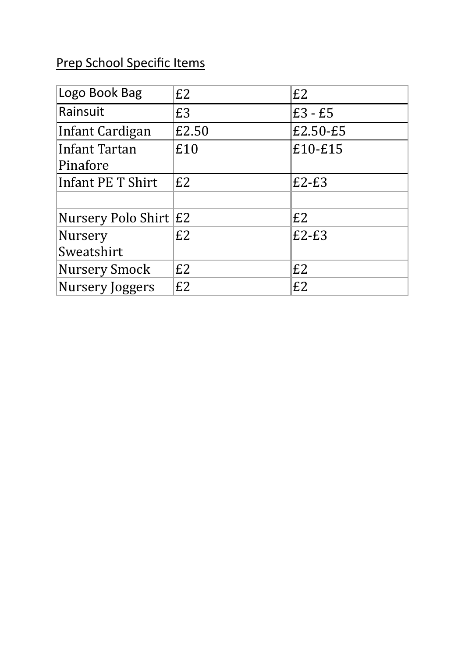## Prep School Specific Items

| Logo Book Bag         | E2    | E2        |
|-----------------------|-------|-----------|
| Rainsuit              | £3    | $E3 - E5$ |
| Infant Cardigan       | £2.50 | £2.50-£5  |
| Infant Tartan         | £10   | £10-£15   |
| Pinafore              |       |           |
| Infant PE T Shirt     | E2    | $E2-E3$   |
|                       |       |           |
| Nursery Polo Shirt E2 |       | E2        |
| <b>Nursery</b>        | E2    | $E2-E3$   |
| Sweatshirt            |       |           |
| <b>Nursery Smock</b>  | E2    | E2        |
| Nursery Joggers       | E2    | E2        |